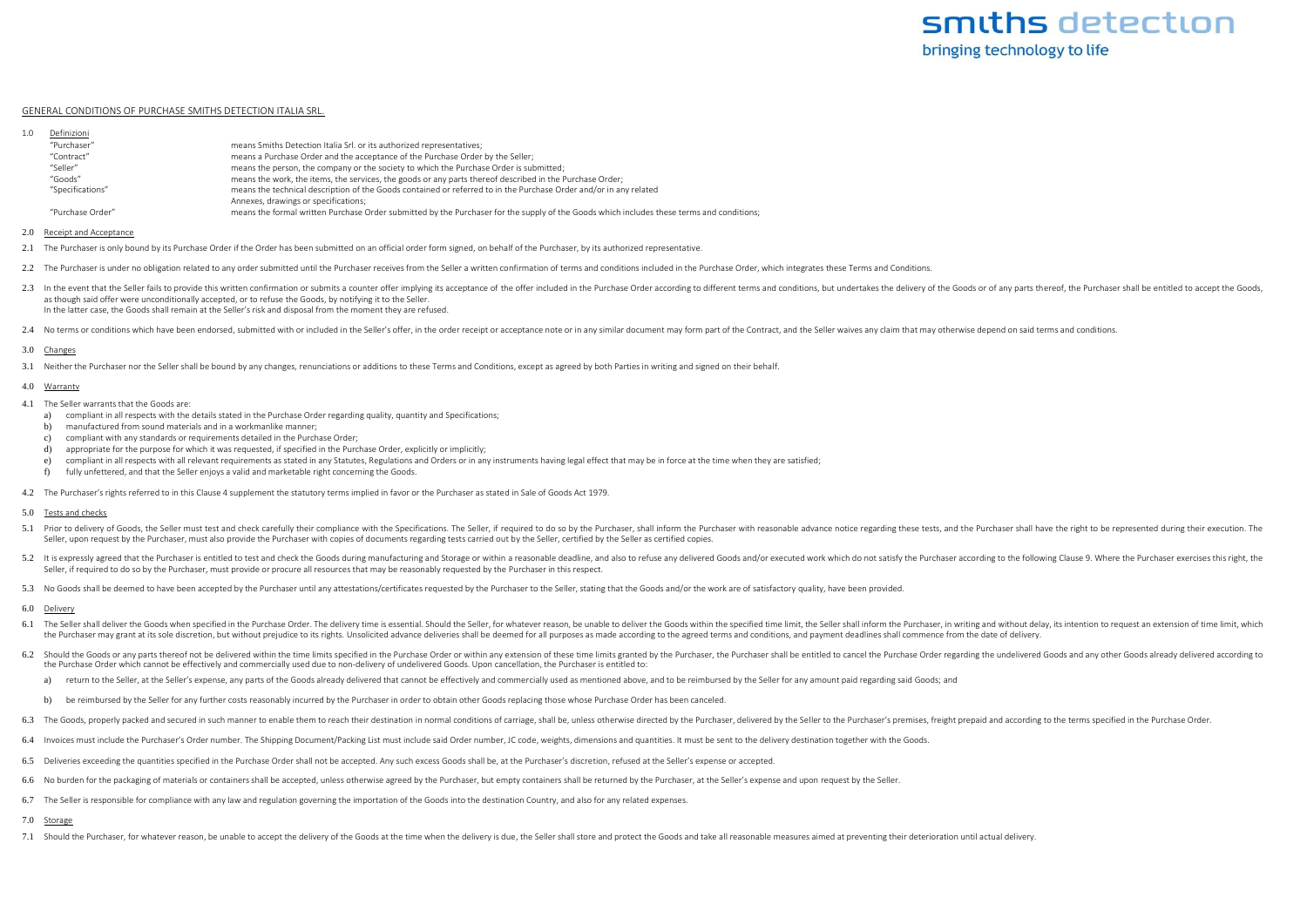## GENERAL CONDITIONS OF PURCHASE SMITHS DETECTION ITALIA SRL.

| 1.0 | Definizioni      |                                                                                                                                           |
|-----|------------------|-------------------------------------------------------------------------------------------------------------------------------------------|
|     | "Purchaser"      | means Smiths Detection Italia Srl. or its authorized representatives;                                                                     |
|     | "Contract"       | means a Purchase Order and the acceptance of the Purchase Order by the Seller;                                                            |
|     | "Seller"         | means the person, the company or the society to which the Purchase Order is submitted;                                                    |
|     | "Goods"          | means the work, the items, the services, the goods or any parts thereof described in the Purchase Order:                                  |
|     | "Specifications" | means the technical description of the Goods contained or referred to in the Purchase Order and/or in any related                         |
|     |                  | Annexes, drawings or specifications;                                                                                                      |
|     | "Purchase Order" | means the formal written Purchase Order submitted by the Purchaser for the supply of the Goods which includes these terms and conditions; |
|     |                  |                                                                                                                                           |

2.0 Receipt and Acceptance

- 2.1 The Purchaser is only bound by its Purchase Order if the Order has been submitted on an official order form signed, on behalf of the Purchaser, by its authorized representative.
- 2.2 The Purchaser is under no obligation related to any order submitted until the Purchaser receives from the Seller a written confirmation of terms and conditions included in the Purchase Order, which integrates these Ter
- 2.3 In the event that the Seller fails to provide this written confirmation or submits a counter offer implying its acceptance of the offer included in the Purchase Order accoording to different terms and conditions, but u as though said offer were unconditionally accepted, or to refuse the Goods, by notifying it to the Seller. In the latter case, the Goods shall remain at the Seller's risk and disposal from the moment they are refused.
- 2.4 No terms or conditions which have been endorsed, submitted with or included in the Seller's offer, in the order receipt or acceptance note or in any similar document may form part of the Contract, and the Seller waives

# 3.0 Changes

3.1 Neither the Purchaser nor the Seller shall be bound by any changes, renunciations or additions to these Terms and Conditions, except as agreed by both Parties in writing and signed on their behalf.

#### 4.0 Warrantv

- 4.1 The Seller warrants that the Goods are:
	- a) compliant in all respects with the details stated in the Purchase Order regarding quality, quantity and Specifications;
	- b) manufactured from sound materials and in a workmanlike manner;
	- c) compliant with any standards or requirements detailed in the Purchase Order;
	- d) appropriate for the purpose for which it was requested, if specified in the Purchase Order, explicitly or implicitly;
	- e) compliant in all respects with all relevant requirements as stated in any Statutes, Regulations and Orders or in any instruments having legal effect that may be in force at the time when they are satisfied;
	- f) fully unfettered, and that the Seller enjoys a valid and marketable right concerning the Goods.
- 4.2 The Purchaser's rights referred to in this Clause 4 supplement the statutory terms implied in favor or the Purchaser as stated in Sale of Goods Act 1979.

# 5.0 Tests and checks

- 5.1 Prior to delivery of Goods, the Seller must test and check carefully their compliance with the Specifications. The Seller, if required to do so by the Purchaser, shall inform the Purchaser with reasonable advance notic Seller, upon request by the Purchaser, must also provide the Purchaser with copies of documents regarding tests carried out by the Seller, certified by the Seller as certified copies.
- 5.2 It is expressly agreed that the Purchaser is entitled to test and check the Goods during manufacturing and Storage or within a reasonable deadline, and also to refuse any delivered Goods and/or executed work which do n Seller, if required to do so by the Purchaser, must provide or procure all resources that may be reasonably requested by the Purchaser in this respect.
- 5.3 No Goods shall be deemed to have been accepted by the Purchaser until any attestations/certificates requested by the Purchaser to the Seller, stating that the Goods and/or the work are of satisfactory quality, have bee

#### 6.0 Delivery

- 6.1 The Seller shall deliver the Goods when specified in the Purchase Order. The delivery time is essential. Should the Seller, for whatever reason, be unable to deliver the Goods within the specified time limit, the Selle the Purchaser may grant at its sole discretion, but without prejudice to its rights. Unsolicited advance deliveries shall be deemed for all purposes as made according to the agreed terms and conditions, and payment deadlin
- 6.2 Should the Goods or any parts thereof not be delivered within the time limits specified in the Purchase Order or within any extension of these time limits granted by the Purchaser shall be entitled to cancel the Purcha the Purchase Order which cannot be effectively and commercially used due to non-delivery of undelivered Goods. Upon cancellation, the Purchaser is entitled to:
	- a) return to the Seller, at the Seller's expense, any parts of the Goods already delivered that cannot be effectively and commercially used as mentioned above, and to be reimbursed by the Seller for any amount paid regardi
	- b) be reimbursed by the Seller for any further costs reasonably incurred by the Purchaser in order to obtain other Goods replacing those whose Purchase Order has been canceled.
- 6.3 The Goods, properly packed and secured in such manner to enable them to reach their destination in normal conditions of carriage, shall be, unless otherwise directed by the Purchaser, delivered by the Seller to the Pur
- 6.4 Invoices must include the Purchaser's Order number. The Shipping Document/Packing List must include said Order number, JC code, weights, dimensions and quantities. It must be sent to the delivery destination together w
- 6.5 Deliveries exceeding the quantities specified in the Purchase Order shall not be accepted. Any such excess Goods shall be, at the Purchaser's discretion, refused at the Seller's expense or accepted.
- 6.6 No burden for the packaging of materials or containers shall be accepted, unless otherwise agreed by the Purchaser, but empty containers shall be returned by the Purchaser, at the Seller's expense and upon request by t
- 6.7 The Seller is responsible for compliance with any law and regulation governing the importation of the Goods into the destination Country, and also for any related expenses.

# 7.0 Storage

7.1 Should the Purchaser, for whatever reason, be unable to accept the delivery of the Goods at the time when the delivery is due, the Seller shall store and protect the Goods and take all reasonable measures aimed at prev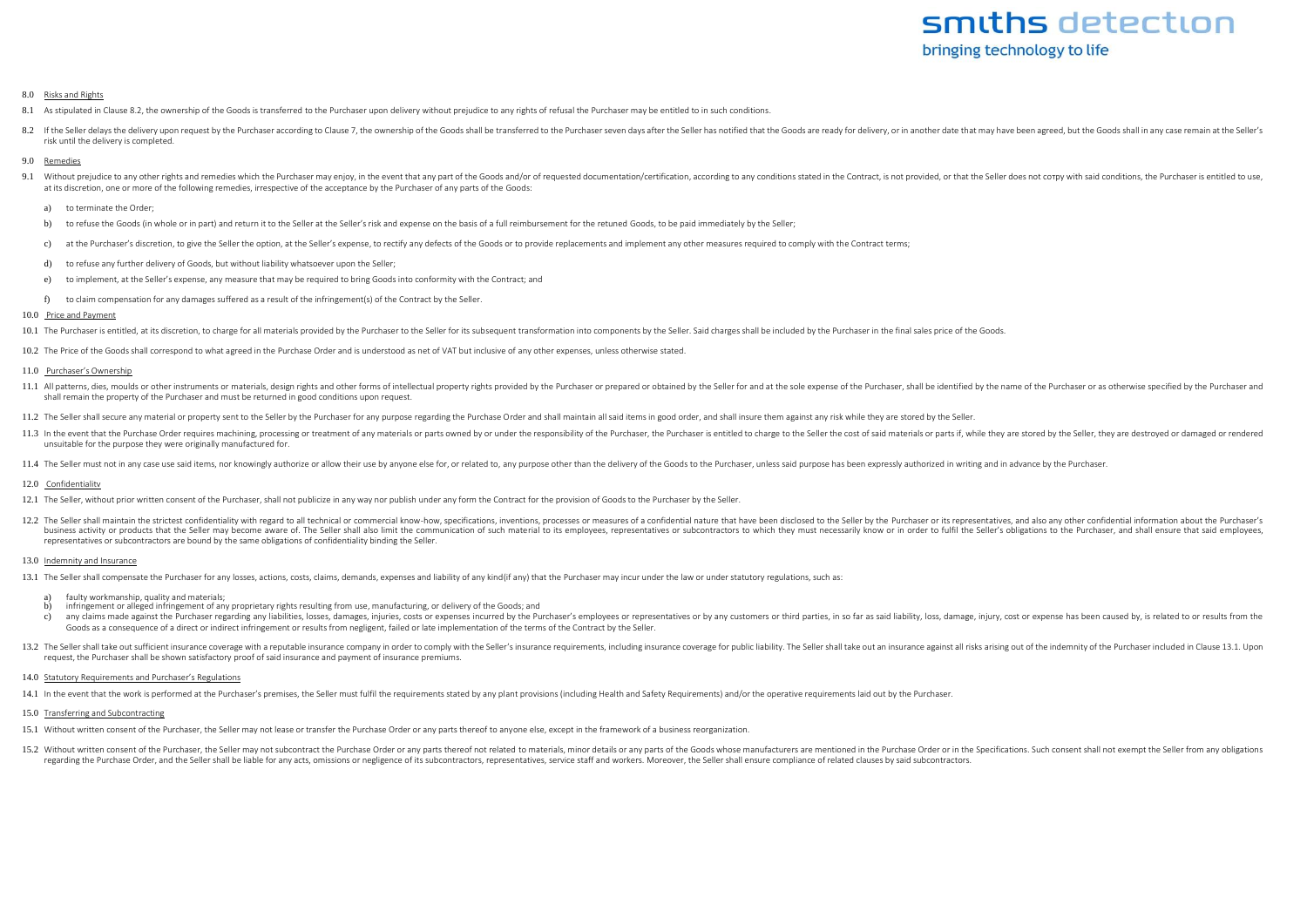# smiths detection bringing technology to life

#### 8.0 Risks and Rights

- 8.1 As stipulated in Clause 8.2, the ownership of the Goods is transferred to the Purchaser upon delivery without prejudice to any rights of refusal the Purchaser may be entitled to in such conditions.
- 8.2 If the Seller delays the delivery upon request by the Purchaser according to Clause 7, the ownership of the Goods shall be transferred to the Purchaser seven days after the Seller has notified that the Goods are ready risk until the delivery is completed.

## 9.0 Remedies

- 9.1 Without prejudice to any other rights and remedies which the Purchaser may enjoy, in the event that any part of the Goods and/or of requested documentation/certification, according to any conditions stated in the Contr at its discretion, one or more of the following remedies, irrespective of the acceptance by the Purchaser of any parts of the Goods:
	- a) to terminate the Order;
	- b) to refuse the Goods (in whole or in part) and return it to the Seller at the Seller's risk and expense on the basis of a full reimbursement for the retuned Goods, to be paid immediately by the Seller;
	- c) at the Purchaser's discretion, to give the Seller the option, at the Seller's expense, to rectify any defects of the Goods or to provide replacements and implement any other measures required to comply with the Contract
	- d) to refuse any further delivery of Goods, but without liability whatsoever upon the Seller;
	- e) to implement, at the Seller's expense, any measure that may be required to bring Goods into conformity with the Contract; and
	- f) to claim compensation for any damages suffered as a result of the infringement(s) of the Contract by the Seller.

# 10.0 Price and Payment

10.1 The Purchaser is entitled, at its discretion, to charge for all materials provided by the Purchaser to the Seller for its subsequent transformation into components by the Seller. Said charges shall be included by the

10.2 The Price of the Goods shall correspond to what agreed in the Purchase Order and is understood as net of VAT but inclusive of any other expenses, unless otherwise stated.

## 11.0 Purchaser's Ownership

- 11.1 All patterns, dies, moulds or other instruments or materials, design rights and other forms of intellectual property rights provided by the Purchaser or prepared or obtained by the Seller for and at the sole expense o shall remain the property of the Purchaser and must be returned in good conditions upon request.
- 11.2 The Seller shall secure any material or property sent to the Seller by the Purchaser for any purpose regarding the Purchase Order and shall maintain all said items in good order, and shall insure them against any risk
- 11.3 In the event that the Purchase Order requires machining, processing or treatment of any materials or parts owned by or under the responsibility of the Purchaser, the Purchaser is entitled to charge to the Seller the c unsuitable for the purpose they were originally manufactured for.
- 11.4 The Seller must not in any case use said items, nor knowingly authorize or allow their use by anyone else for, or related to, any purpose other than the delivery of the Goods to the Purchaser, unless said purpose has

# 12.0 Confidentialitv

- 12.1 The Seller, without prior written consent of the Purchaser, shall not publicize in any way nor publish under any form the Contract for the provision of Goods to the Purchaser by the Seller.
- 12.2 The Seller shall maintain the strictest confidentiality with regard to all technical or commercial know-how, specifications, inventions, processes or measures of a confidential nature that have been disclosed to the S business activity or products that the Seller may become aware of. The Seller shall also limit the communication of such material to its employees, representatives or subcontractors to which they must necessarily know or i representatives or subcontractors are bound by the same obligations of confidentiality binding the Seller.

# 13.0 Indemnity and Insurance

13.1 The Seller shall compensate the Purchaser for any losses, actions, costs, claims, demands, expenses and liability of any kind(if any) that the Purchaser may incur under the law or under statutory regulations, such as:

- a) faulty workmanship, quality and materials;<br>b) infringement or alleged infringement of an
- b) infringement or alleged infringement of any proprietary rights resulting from use, manufacturing, or delivery of the Goods; and
- c) any claims made against the Purchaser regarding any liabilities, losses, damages, iniuries, costs or expenses incurred by the Purchaser's employees or representatives or by any customers or third parties, in so far as s Goods as a consequence of a direct or indirect infringement or results from negligent, failed or late implementation of the terms of the Contract by the Seller.
- 13.2. The Seller shall take out sufficient insurance coverage with a reputable insurance company in order to comply with the Seller's insurance requirements, including insurance coverage for public liability. The Seller sh request, the Purchaser shall be shown satisfactory proof of said insurance and payment of insurance premiums.

# 14.0 Statutory Requirements and Purchaser's Regulations

14.1 In the event that the work is performed at the Purchaser's premises, the Seller must fulfil the requirements stated by any plant provisions (including Health and Safety Requirements) and/or the operative requirements

# 15.0 Transferring and Subcontracting

- 15.1 Without written consent of the Purchaser, the Seller may not lease or transfer the Purchase Order or any parts thereof to anyone else, except in the framework of a business reorganization.
- 15.2 Without written consent of the Purchaser, the Seller may not subcontract the Purchase Order or any parts thereof not related to materials, minor details or any parts of the Goods whose manufacturers are mentioned in t regarding the Purchase Order, and the Seller shall be liable for any acts, omissions or negligence of its subcontractors, representatives, service staff and workers. Moreover, the Seller shall ensure compliance of related